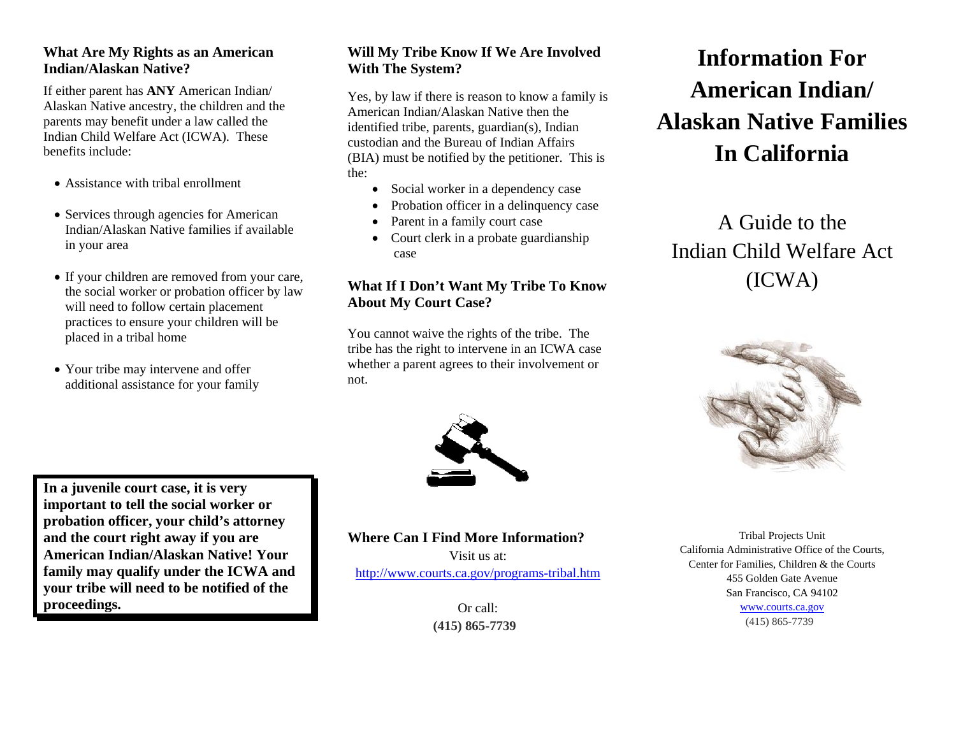#### **What Are My Rights as an American Indian/Alaskan Native?**

If either parent has **ANY** American Indian/ Alaskan Native ancestry, the children and the parents may benefit under a law called the Indian Child Welfare Act (ICWA). These benefits include:

- Assistance with tribal enrollment
- Services through agencies for American Indian/Alaskan Native families if available in your area
- If your children are removed from your care, the social worker or probation officer by law will need to follow certain placement practices to ensure your children will be placed in a tribal home
- Your tribe may intervene and offer additional assistance for your family

**In a juvenile court case, it is very** 

#### **Will My Tribe Know If We Are Involved With The System?**

Yes, by law if there is reason to know a family is American Indian/Alaskan Native then the identified tribe, parents, guardian(s), Indian custodian and the Bureau of Indian Affairs (BIA) must be notified by the petitioner. This is the:

- Social worker in a dependency case
- Probation officer in a delinquency case
- Parent in a family court case
- Court clerk in a probate guardianship case

## **What If I Don't Want My Tribe To Know About My Court Case?**

You cannot waive the rights of the tribe. The tribe has the right to intervene in an ICWA case whether a parent agrees to their involvement or not.



#### **important to tell the social worker or probation officer, your child's attorney and the court right away if you are American Indian/Alaskan Native! Your family may qualify under the ICWA and your tribe will need to be notified of the proceedings.**

#### **Where Can I Find More Information?**

Visit us at: http://www.courts.ca.gov/programs-tribal.htm

> Or call: **(415) 865-7739**

# **Information For American Indian/ Alaskan Native Families In California**

A Guide to the Indian Child Welfare Act (ICWA)



Tribal Projects Unit California Administrative Office of the Courts, Center for Families, Children & the Courts 455 Golden Gate Avenue San Francisco, CA 94102 www.courts.ca.gov (415) 865-7739